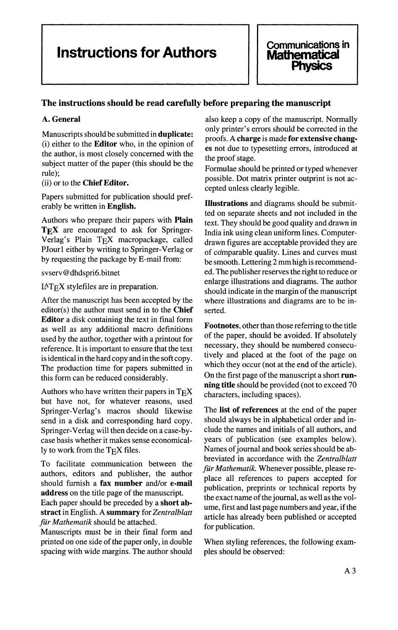## **Instructions for Authors**

**Communications in Mathematical Physics**

## **The instructions should be read carefully before preparing the manuscript**

### **A. General**

Manuscripts should be submitted in **duplicate:** (i) either to the **Editor** who, in the opinion of the author, is most closely concerned with the subject matter of the paper (this should be the rule);

(ii) or to the **Chief Editor.**

Papers submitted for publication should pref erably be written in **English.**

Authors who prepare their papers with **Plain** T<sub>E</sub>X are encouraged to ask for Springer-Verlag's Plain TgX macropackage, called PJour1 either by writing to Springer-Verlag or by requesting the package by E-mail from:

#### svserv @ dhdspriό.bitnet

 $IAT<sub>F</sub>X$  stylefiles are in preparation.

After the manuscript has been accepted by the editor(s) the author must send in to the **Chief Editor** a disk containing the text in final form as well as any additional macro definitions used by the author, together with a printout for reference. It is important to ensure that the text is identical in the hard copy and in the soft copy. The production time for papers submitted in this form can be reduced considerably.

Authors who have written their papers in  $T_{E}X$ but have not, for whatever reasons, used Springer-Verlag's macros should likewise send in a disk and corresponding hard copy. Springer-Verlag will then decide on a case-by case basis whether it makes sense economical ly to work from the  $T_{F}X$  files.

To facilitate communication between the authors, editors and publisher, the author should furnish a **fax number** and/or **e-mail address** on the title page of the manuscript.

Each paper should be preceded by a **short ab stract** in English. A **summary** for *Zentralblatt fur Mathematik* should be attached.

Manuscripts must be in their final form and printed on one side of the paper only, in double spacing with wide margins. The author should

also keep a copy of the manuscript. Normally only printer's errors should be corrected in the proofs. A **charge** is made **for extensive chang es** not due to typesetting errors, introduced at the proof stage.

Formulae should be printed or typed whenever possible. Dot matrix printer outprint is not ac cepted unless clearly legible.

**Illustrations** and diagrams should be submit ted on separate sheets and not included in the text. They should be good quality and drawn in India ink using clean uniform lines. Computer drawn figures are acceptable provided they are of co'mparable quality. Lines and curves must be smooth. Lettering 2 mm high is recommend ed. The publisher reserves the right to reduce or enlarge illustrations and diagrams. The author should indicate in the margin of the manuscript where illustrations and diagrams are to be in serted.

**Footnotes,** other than those referring to the title of the paper, should be avoided. If absolutely necessary, they should be numbered consecu tively and placed at the foot of the page on which they occur (not at the end of the article). On the first page of the manuscript a short **run ning title** should be provided (not to exceed 70 characters, including spaces).

The **list of references** at the end of the paper should always be in alphabetical order and in clude the names and initials of all authors, and years of publication (see examples below). Names of journal and book series should be ab breviated in accordance with the *Zentralblatt fiir Mathematik.* Whenever possible, please re place all references to papers accepted for publication, preprints or technical reports by the exact name of the journal, as well as the vol ume, first and last page numbers and year, if the article has already been published or accepted for publication.

When styling references, the following exam ples should be observed: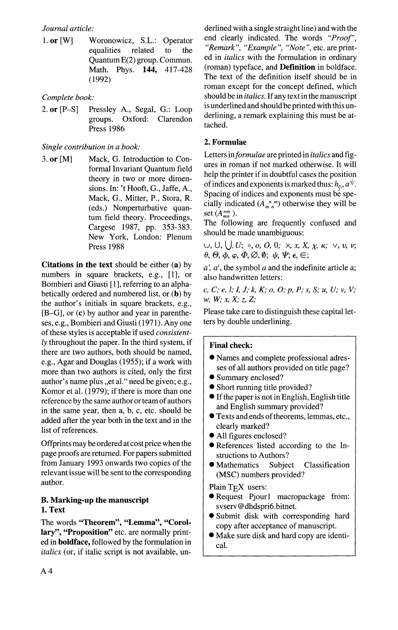## *Journal article:*

l.or[W] Woronowicz, S.L.: Operator equalities related to the Quantum E(2) group. Commun. Math. Phys. **144,** 417-428 (1992)

## *Complete book:*

2. or[P-S] Pressley A., Segal, G.: Loop groups. Oxford: Clarendon Press 1986

## *Single contribution in a book:*

3. or [M] Mack, G. Introduction to Con formal Invariant Quantum field theory in two or more dimen sions. In: 't Hooft, G., Jaffe, A., Mack, G., Mitter, P., Stora, R. (eds.) Nonperturbative quan tum field theory. Proceedings, Cargese 1987, pp. 353-383. New York, London: Plenum Press 1988

**Citations in the text** should be either (a) by numbers in square brackets, e.g., [1], or Bombieri and Giusti [1], referring to an alpha betically ordered and numbered list, or (b) by the author's initials in square brackets, e.g., [B-G], or (c) by author and year in parenthe ses, e.g., Bombieri and Giusti (1971). Any one of these styles is acceptable if used *consistently* throughout the paper. In the third system, if there are two authors, both should be named, e.g., Agar and Douglas (1955); if a work with more than two authors is cited, only the first author's name plus ,,et al." need be given; e.g., Komor et al. (1979); if there is more than one reference by the same author or team of authors in the same year, then a, b, c, etc. should be added after the year both in the text and in the list of references.

Offprints may be ordered at cost price when the page proofs are returned. For papers submitted from January 1993 onwards two copies of the relevant issue will be sent to the corresponding author.

## **B. Marking-up the manuscript 1. Text**

The words **"Theorem", "Lemma", "Corol lary", "Proposition"** etc. are normally print ed in **boldface,** followed by the formulation in *italics* (or, if italic script is not available, un

derlined with a single straight line) and with the end clearly indicated. The words *"Proof", "Remark", "Example", "Note",* etc. are print ed in *italics* with the formulation in ordinary (roman) typeface, and **Definition** in boldface. The text of the definition itself should be in roman except for the concept defined, which should be in *italics.* If any text in the manuscript is underlined and should be printed with this un derlining, a remark explaining this must be at tached.

## **2. Formulae**

Letters *mformulae* are printed in *italics* and fig ures in roman if not marked otherwise. It will help the printer if in doubtful cases the position of indices and exponents is marked thus:  $h_{\hat{\beta}}, a^{\psi}$ . Spacing of indices and exponents must be specially indicated  $(A_{m}^{n}{}_{n}^{m})$  otherwise they will be set  $(A_{\text{nm}}^{nm})$ .

The following are frequently confused and should be made unambiguous:

u, U, IJ, *U\* o, *o, O,* 0; x, *x, X, χ, κ;* v, *v, v\ θ, Θ, φ, φ, Φ, Θ,* θ; *ψ, Ψ*; *ε*, ∈;

 $a'$ ,  $a'$ , the symbol  $a$  and the indefinite article a; also handwritten letters:

*c, C; e, I; I, J; k, K; o, O; p, P; s, S; u, U;* v, *V; w, W; x, X; z, Z;*

Please take care to distinguish these capital let ters by double underlining.

## **Final check:**

- Names and complete professional adres ses of all authors provided on title page?
- Summary enclosed?
- Short running title provided?
- If the paper is not in English, English title and English summary provided?
- Texts and ends of theorems, lemmas, etc., clearly marked?
- All figures enclosed?
- References listed according to the Instructions to Authors?
- Mathematics Subject Classification (MSC) numbers provided?

Plain T<sub>F</sub>X users:

- Request Pjourl macropackage from: svserv@dhdspri6.bitnet.
- Submit disk with corresponding hard copy after acceptance of manuscript.
- Make sure disk and hard copy are identi cal.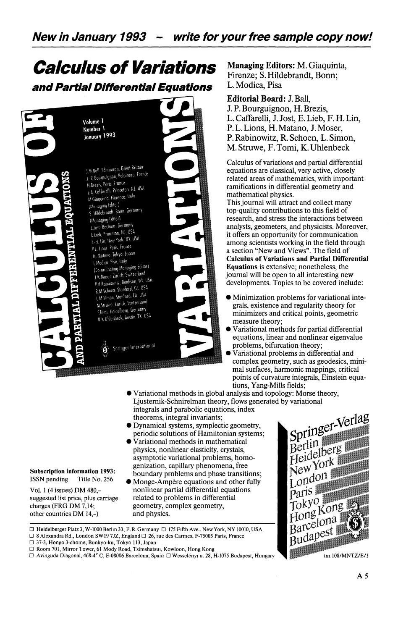## **Calculus of Variations and Partial Differential Equations**

Volume 1 Number 1

Number<br>January 1993 J.M.Boll Edinburgh, Great Britain J.M.Boll Edinburgh, Greur Grimmer<br>J.-P. Bourguignon, Palaiseau, France H.Brezis, Paris, France H.Brezis, runs, runs<br>L.A. Caffarelli, Princeton, NJ, USA M. Giaquinta, Florence, Italy (Managing Editor) Managing canony<br>S. Hildebrandt, Bonn, Germany S. Hildebrandi, Bullion, Co., 1.<br>(Managing Editor)<br>J.Jost Bochum, Germany E.Lieb, Princeton, NJ, USA F.H. Lin, New York, NY. USA P.L. Link Raris, France H. Matano, Tokyo, Japan L.Modico, Pisa, Italy (Co-ordinating Managing Editor) LK Moser Zürich, Switzerland J.K.Moser Zurich, Synteerium<br>P.H.Rabinowitz, Madison, WI. USA R.M.Schoen, Stanford, CA. USA K.M.Schuen, Stanford, CA. USA M.Struwe, Zürich, Switzerland Flomi, Heidelberg, Germany K.K.Uhlenbeck, Austin, TX. USA

Springer International

**Managing Editors:** M. Giaquinta, Firenze; S. Hildebrandt, Bonn; L. Modica, Pisa

**Editorial Board: J. Ball.** J. P. Bourguignon, H. Brezis, L. Caffarelli, J. Jost, E. Lieb, F. H. Lin, P. L. Lions, H. Matano, J. Moser, P. Rabinowitz, R. Schoen, L. Simon, M. Struwe, F. Tomi, K. Uhlenbeck

Calculus of variations and partial differential equations are classical, very active, closely related areas of mathematics, with important ramifications in differential geometry and mathematical physics.

This journal will attract and collect many top-quality contributions to this field of research, and stress the interactions between analysts, geometers, and physicists. Moreover, it offers an opportunity for communication among scientists working in the field through a section "New and Views". The field of **Calculus of Variations and Partial Differential Equations** is extensive; nonetheless, the journal will be open to all interesting new developments. Topics to be covered include:

- Minimization problems for variational integrals, existence and regularity theory for minimizers and critical points, geometric measure theory;
- Variational methods for partial differential equations, linear and nonlinear eigenvalue problems, bifurcation theory;
- Variational problems in differential and complex geometry, such as geodesics, minimal surfaces, harmonic mappings, critical points of curvature integrals, Einstein equations, Yang-Mills fields;
- Variational methods in global analysis and topology: Morse theory, Ljusternik-Schnirelman theory, flows generated by variational integrals and parabolic equations, index theorems, integral invariants;
- Dynamical systems, symplectic geometry, periodic solutions of Hamiltonian systems;
- Variational methods in mathematical physics, nonlinear elasticity, crystals, asymptotic variational problems, homogenization, capillary phenomena, free boundary problems and phase transitions;
- Monge-Ampère equations and other fully nonlinear partial differential equations related to problems in differential geometry, complex geometry, and physics.

 $\Box$  Heidelberger Platz 3, W-1000 Berlin 33, F.R. Germany  $\Box$  175 Fifth Ave., New York, NY 10010, USA

- D 8 Alexandra Rd., London SW19 7JZ, England D 26, rue des Carmes, F-75005 Paris, France
- D 37-3, Hongo 3-chome, Bunkyo-ku, Tokyo 113, Japan

Subscription information **1993:**

Vol. 1 (4 issues) DM 480, suggested list price, plus carriage charges (FRG DM 7,14; other countries DM 14,-)

ISSN pending

D Room 701, Mirror Tower, 61 Mody Road, Tsimshatsui, Kowloon, Hong Kong

D Avinguda Diagonal, 468-4 °C, E-08006 Barcelona, Spain D Wesselenyi u. 28, H-1075 Budapest, Hungary tm.l08/MNTZ/E/l

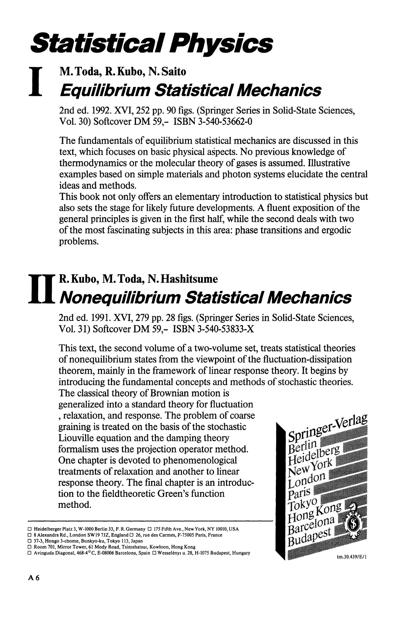# *Statistical Physics* **I**

## **M.Toda, R Kubo, N.Saito** *Equilibrium Statistical Mechanics*

2nd ed. 1992. XVI, 252 pp. 90 figs. (Springer Series in Solid-State Sciences, Vol. 30) Softcover DM 59, - ISBN 3-540-53662-0

The fundamentals of equilibrium statistical mechanics are discussed in this text, which focuses on basic physical aspects. No previous knowledge of thermodynamics or the molecular theory of gases is assumed. Illustrative examples based on simple materials and photon systems elucidate the central ideas and methods.

This book not only offers an elementary introduction to statistical physics but also sets the stage for likely future developments. A fluent exposition of the general principles is given in the first half, while the second deals with two of the most fascinating subjects in this area: phase transitions and ergodic problems.

## **R Kubo, M.Toda, N.Hashitsume** *Nonequilibrium Statistical Mechanics*

2nd ed. 1991. XVI, 279 pp. 28 figs. (Springer Series in Solid-State Sciences, Vol. 31) Softcover DM 59, - ISBN 3-540-53833-X

This text, the second volume of a two-volume set, treats statistical theories of nonequilibrium states from the viewpoint of the fluctuation-dissipation theorem, mainly in the framework of linear response theory. It begins by introducing the fundamental concepts and methods of stochastic theories.

The classical theory of Brownian motion is generalized into a standard theory for fluctuation , relaxation, and response. The problem of coarse graining is treated on the basis of the stochastic Liouville equation and the damping theory formalism uses the projection operator method. One chapter is devoted to phenomenological treatments of relaxation and another to linear response theory. The final chapter is an introduc tion to the fieldtheoretic Green's function method.

D Heidelberger Platz 3, W-1000 Berlin 33, F. R. Germany D 175 Fifth Ave., New York, NY 10010, USA

- D 8 Alexandra Rd., London SW19 7JZ, England D 26, rue des Carmes, F-75005 Paris, France D 37-3, Hongo 3-chome, Bunkyo-ku, Tokyo 113, Japan
- 

<sup>□</sup> Room 701, Mirror Tower, 61 Mody Road, Tsimshatsuı, Kowloon, Hong Kong<br>□ Avinguda Diagonal, 468-4°C, E-08006 Barcelona, Spain □ Wesselényı u. 28, H-1075 Budapest, Hungary

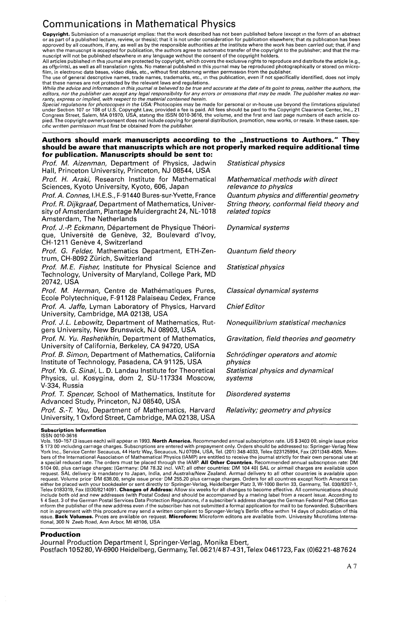## Communications in Mathematical Physics

**Copyright.** Submission of a manuscript implies: that the work described has not been published before (except in the form of an abstract or as part of a published lecture, review, or thesis); that it is not under consideration for publication elsewhere; that its publication has been<br>approved by all coauthors, if any, as well as by the responsible authoritie nuscript will not be published elsewhere in any language without the consent of the copyright holders.<br>All articles published in this journal are protected by copyright, which covers the exclusive rights to reproduce and d

as offprints), as well as all translation rights. No material published in this journal may be reproduced photographically or stored on micro film, in electronic data bases, video disks, etc., without first obtaining written permission from the publisher.<br>The use of general descriptive names, trade names, trademarks, etc., in this publication, even if not specif

that these names are not protected by the relevant laws and regulations.

*While the advice and information in this journal is believed to be true and accurate at the date of its goint to press, neither the authors, the editors, nor the publisher can accept any legal responsibility for any errors or omissions that may be made. The publisher makes no war-ranty, express or implied, with respect to the material contained herein.*

*Special regulations for photocopies in the USA:* Photocopies may be made for personal or in-house use beyond the limitations stipulated<br>under Section 107 or 108 of U.S. Copyright Law, provided a fee is paid. All fees shou cific written permission must first be obtained from the publisher.

#### Authors should mark manuscripts according to the "Instructions to Authors." They **should be aware that manuscripts which are not properly marked require additional time for publication. Manuscripts should be sent to:**

*Prof. M. Aizenman,* Department of Physics, Jadwin Hall, Princeton University, Princeton, NJ 08544, USA

*Prof. H. Araki,* Research Institute for Mathematical Sciences, Kyoto University, Kyoto, 606, Japan

*Prof. A. Connes,* I.H.E.S., F-91440 Bures-sur-Yvette, France *Prof. R. Dijkgraaf,* Department of Mathematics, Univer sity of Amsterdam, Plantage Muidergracht 24, NL-1018 Amsterdam, The Netherlands

*Prof. J.-P. Eckmann,* Département de Physique Théori-<br>que, Université de Genève, 32, Boulevard d'Ivoy, CH-1211 Genève 4, Switzerland

*Prof. G. Felder,* Mathematics Department, ETH-Zen trum, CH-8092 Zürich, Switzerland

*Prof. M.E. Fisher,* Institute for Physical Science and Technology, University of Maryland, College Park, MD 20742, USA

Prof. M. Herman, Centre de Mathématiques Pures, Ecole Polytechnique, F-91128 Palaiseau Cedex, France *Prof. A. Jaffe,* Lyman Laboratory of Physics, Harvard University, Cambridge, MA 02138, USA

*Prof. J.L. Lebowitz,* Department of Mathematics, Rut gers University, New Brunswick, NJ 08903, USA

*Prof. N. Yυ. Reshetikhin,* Department of Mathematics, University of California, Berkeley, CA 94720, USA

*Prof. B. Simon,* Department of Mathematics, California Institute of Technology, Pasadena, CA 91125, USA

Prof. Ya. G. Sinai, L. D. Landau Institute for Theoretical Physics, ul. Kosygina, dom 2, SU-117334 Moscow, V-334, Russia

*Prof. T. Spencer,* School of Mathematics, Institute for Advanced Study, Princeton, NJ 08540, USA

*Prof. S.-T. Yau,* Department of Mathematics, Harvard University, 1 Oxford Street, Cambridge, MA 02138, USA

*Statistical physics*

*Mathematical methods with direct relevance to physics Quantum physics and differential geometry String theory, conformal field theory and related topics*

*Dynamical systems*

*Quantum field theory*

*Statistical physics*

*Classical dynamical systems*

*Chief Editor*

*Nonequilibrium statistical mechanics*

*Gravitation, field theories and geometry*

*Schrόdinger operators and atomic physics Statistical physics and dynamical*

Disordered systems

#### **Subscription Information** ISSN 0010-3616

Vols. 150-157 (3 issues each) will appear in 1993. **North America.** Recommended annual subscription rate. US \$ 3403 00, single issue price \$ 173 00 including carriage charges. Subscriptions are entered with prepayment only. Orders should be addressed to: Springer-Verlag New<br>York Inc., Service Center Secaucus, 44 Hartz Way, Secaucus, NJ 07094, USA, Tel. (201) 5104 00, plus carriage charges: [Germany: DM 78.32 and. VAT; all other countries: DM 104 40] SAL or airmail charges are available upon<br>request. SAL delivery is mandatory to Japan, India, and Australia/New Zealand. Airmail inform the publisher of the new address even if the subscriber has not submitted a formal application for mail to be forwarded. Subscribers<br>not in agreement with this procedure may send a written complaint to Springer-Verl issue. Back Volumes. Prices are available on request. Microform: Microform editons are available from. University Microfilms Interna<br>tional, 300 N. Zeeb Road, Ann Arbor, MI 48106, USA

#### **Production**

Journal Production Department I, Springer-Verlag, Monika Ebert, Postfach105280,W-6900 Heidelberg,Germany,Tel.0621/487-431,Telex0461723,Fax (0)6221-487624